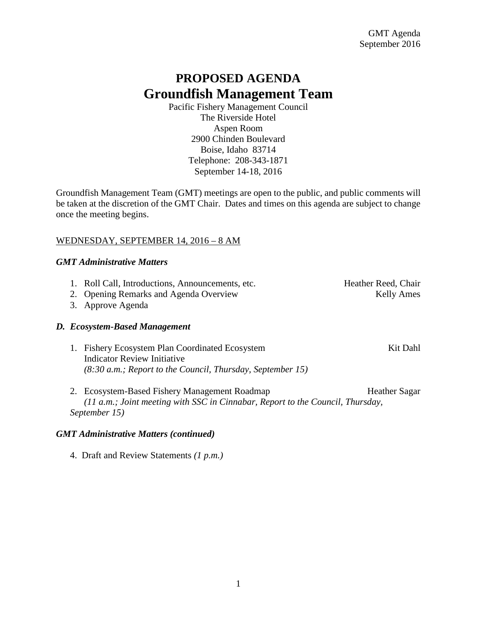# **PROPOSED AGENDA Groundfish Management Team**

Pacific Fishery Management Council The Riverside Hotel Aspen Room 2900 Chinden Boulevard Boise, Idaho 83714 Telephone: 208-343-1871 September 14-18, 2016

Groundfish Management Team (GMT) meetings are open to the public, and public comments will be taken at the discretion of the GMT Chair. Dates and times on this agenda are subject to change once the meeting begins.

# WEDNESDAY, SEPTEMBER 14, 2016 – 8 AM

#### *GMT Administrative Matters*

|  | 1. Roll Call, Introductions, Announcements, etc.<br>2. Opening Remarks and Agenda Overview<br>3. Approve Agenda                                    | Heather Reed, Chair<br><b>Kelly Ames</b> |
|--|----------------------------------------------------------------------------------------------------------------------------------------------------|------------------------------------------|
|  | D. Ecosystem-Based Management                                                                                                                      |                                          |
|  | <b>Fishery Ecosystem Plan Coordinated Ecosystem</b><br>Indicator Review Initiative<br>$(8:30 a.m.; Report to the Council, Thursday, September 15)$ | Kit Dahl                                 |
|  | Ecosystem-Based Fishery Management Roadmap                                                                                                         | Heather Sagar                            |

*(11 a.m.; Joint meeting with SSC in Cinnabar, Report to the Council, Thursday, September 15)*

## *GMT Administrative Matters (continued)*

4. Draft and Review Statements *(1 p.m.)*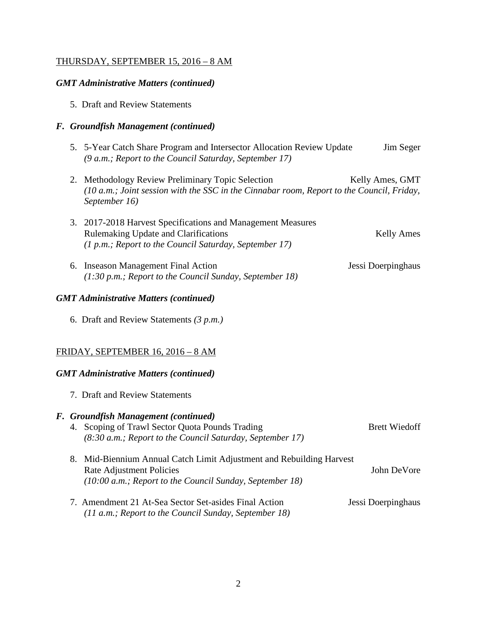## THURSDAY, SEPTEMBER 15, 2016 – 8 AM

## *GMT Administrative Matters (continued)*

5. Draft and Review Statements

## *F. Groundfish Management (continued)*

- 5. 5-Year Catch Share Program and Intersector Allocation Review Update Jim Seger *(9 a.m.; Report to the Council Saturday, September 17)*
- 2. Methodology Review Preliminary Topic Selection Kelly Ames, GMT *(10 a.m.; Joint session with the SSC in the Cinnabar room, Report to the Council, Friday, September 16)*
- 3. 2017-2018 Harvest Specifications and Management Measures Rulemaking Update and Clarifications Kelly Ames *(1 p.m.; Report to the Council Saturday, September 17)*
- 6. Inseason Management Final Action Jessi Doerpinghaus *(1:30 p.m.; Report to the Council Sunday, September 18)*

#### *GMT Administrative Matters (continued)*

6. Draft and Review Statements *(3 p.m.)* 

#### FRIDAY, SEPTEMBER 16, 2016 – 8 AM

#### *GMT Administrative Matters (continued)*

7. Draft and Review Statements

#### *F. Groundfish Management (continued)*

- 4. Scoping of Trawl Sector Quota Pounds Trading Trading Brett Wiedoff *(8:30 a.m.; Report to the Council Saturday, September 17)*
- 8. Mid-Biennium Annual Catch Limit Adjustment and Rebuilding Harvest Rate Adjustment Policies **Solution** John DeVore *(10:00 a.m.; Report to the Council Sunday, September 18)*
- 7. Amendment 21 At-Sea Sector Set-asides Final Action Jessi Doerpinghaus *(11 a.m.; Report to the Council Sunday, September 18)*